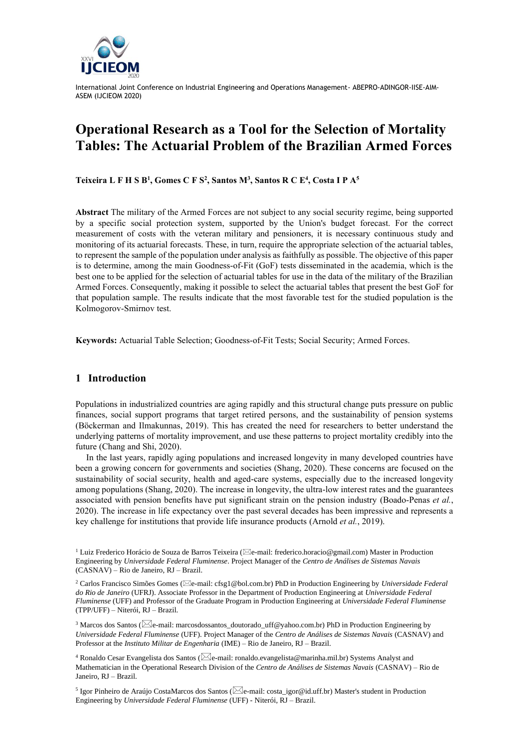

# **Operational Research as a Tool for the Selection of Mortality Tables: The Actuarial Problem of the Brazilian Armed Forces**

**Teixeira L F H S B<sup>1</sup> , Gomes C F S<sup>2</sup> , Santos M<sup>3</sup> , Santos R C E 4 , Costa I P A<sup>5</sup>**

**Abstract** The military of the Armed Forces are not subject to any social security regime, being supported by a specific social protection system, supported by the Union's budget forecast. For the correct measurement of costs with the veteran military and pensioners, it is necessary continuous study and monitoring of its actuarial forecasts. These, in turn, require the appropriate selection of the actuarial tables, to represent the sample of the population under analysis as faithfully as possible. The objective of this paper is to determine, among the main Goodness-of-Fit (GoF) tests disseminated in the academia, which is the best one to be applied for the selection of actuarial tables for use in the data of the military of the Brazilian Armed Forces. Consequently, making it possible to select the actuarial tables that present the best GoF for that population sample. The results indicate that the most favorable test for the studied population is the Kolmogorov-Smirnov test.

**Keywords:** Actuarial Table Selection; Goodness-of-Fit Tests; Social Security; Armed Forces.

# **1 Introduction**

Populations in industrialized countries are aging rapidly and this structural change puts pressure on public finances, social support programs that target retired persons, and the sustainability of pension systems (Böckerman and Ilmakunnas, 2019). This has created the need for researchers to better understand the underlying patterns of mortality improvement, and use these patterns to project mortality credibly into the future (Chang and Shi, 2020).

In the last years, rapidly aging populations and increased longevity in many developed countries have been a growing concern for governments and societies (Shang, 2020). These concerns are focused on the sustainability of social security, health and aged-care systems, especially due to the increased longevity among populations (Shang, 2020). The increase in longevity, the ultra-low interest rates and the guarantees associated with pension benefits have put significant strain on the pension industry (Boado-Penas *et al.*, 2020). The increase in life expectancy over the past several decades has been impressive and represents a key challenge for institutions that provide life insurance products (Arnold *et al.*, 2019).

<sup>5</sup> Igor Pinheiro de Araújo CostaMarcos dos Santos ( $\boxtimes$ e-mail: costa\_igor@id.uff.br) Master's student in Production Engineering by *Universidade Federal Fluminense* (UFF) - Niterói, RJ – Brazil.

<sup>&</sup>lt;sup>1</sup> Luiz Frederico Horácio de Souza de Barros Teixeira ( $\boxtimes$ e-mail: frederico.horacio@gmail.com) Master in Production Engineering by *Universidade Federal Fluminense*. Project Manager of the *Centro de Análises de Sistemas Navais* (CASNAV) – Rio de Janeiro, RJ – Brazil.

<sup>&</sup>lt;sup>2</sup> Carlos Francisco Simões Gomes ( $\boxtimes$ e-mail: cfsg1@bol.com.br) PhD in Production Engineering by *Universidade Federal do Rio de Janeiro* (UFRJ). Associate Professor in the Department of Production Engineering at *Universidade Federal Fluminense* (UFF) and Professor of the Graduate Program in Production Engineering at *Universidade Federal Fluminense*  (TPP/UFF) – Niterói, RJ – Brazil.

<sup>&</sup>lt;sup>3</sup> Marcos dos Santos ( $\boxtimes$ e-mail: marcosdossantos\_doutorado\_uff@yahoo.com.br) PhD in Production Engineering by *Universidade Federal Fluminense* (UFF). Project Manager of the *Centro de Análises de Sistemas Navais* (CASNAV) and Professor at the *Instituto Militar de Engenharia* (IME) – Rio de Janeiro, RJ – Brazil.

<sup>&</sup>lt;sup>4</sup> Ronaldo Cesar Evangelista dos Santos ( $\boxtimes$ e-mail: ronaldo.evangelista@marinha.mil.br) Systems Analyst and Mathematician in the Operational Research Division of the *Centro de Análises de Sistemas Navais* (CASNAV) – Rio de Janeiro, RJ – Brazil.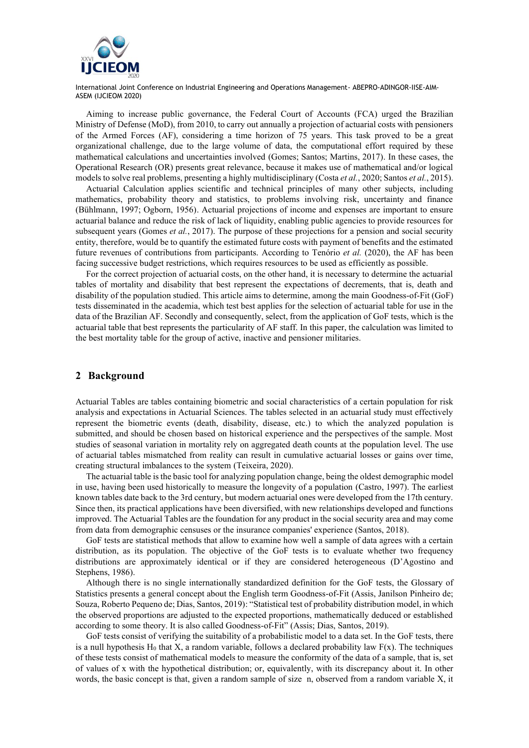

Aiming to increase public governance, the Federal Court of Accounts (FCA) urged the Brazilian Ministry of Defense (MoD), from 2010, to carry out annually a projection of actuarial costs with pensioners of the Armed Forces (AF), considering a time horizon of 75 years. This task proved to be a great organizational challenge, due to the large volume of data, the computational effort required by these mathematical calculations and uncertainties involved (Gomes; Santos; Martins, 2017). In these cases, the Operational Research (OR) presents great relevance, because it makes use of mathematical and/or logical models to solve real problems, presenting a highly multidisciplinary (Costa *et al.*, 2020; Santos *et al.*, 2015).

Actuarial Calculation applies scientific and technical principles of many other subjects, including mathematics, probability theory and statistics, to problems involving risk, uncertainty and finance (Bühlmann, 1997; Ogborn, 1956). Actuarial projections of income and expenses are important to ensure actuarial balance and reduce the risk of lack of liquidity, enabling public agencies to provide resources for subsequent years (Gomes *et al.*, 2017). The purpose of these projections for a pension and social security entity, therefore, would be to quantify the estimated future costs with payment of benefits and the estimated future revenues of contributions from participants. According to Tenório *et al.* (2020), the AF has been facing successive budget restrictions, which requires resources to be used as efficiently as possible.

For the correct projection of actuarial costs, on the other hand, it is necessary to determine the actuarial tables of mortality and disability that best represent the expectations of decrements, that is, death and disability of the population studied. This article aims to determine, among the main Goodness-of-Fit (GoF) tests disseminated in the academia, which test best applies for the selection of actuarial table for use in the data of the Brazilian AF. Secondly and consequently, select, from the application of GoF tests, which is the actuarial table that best represents the particularity of AF staff. In this paper, the calculation was limited to the best mortality table for the group of active, inactive and pensioner militaries.

## **2 Background**

Actuarial Tables are tables containing biometric and social characteristics of a certain population for risk analysis and expectations in Actuarial Sciences. The tables selected in an actuarial study must effectively represent the biometric events (death, disability, disease, etc.) to which the analyzed population is submitted, and should be chosen based on historical experience and the perspectives of the sample. Most studies of seasonal variation in mortality rely on aggregated death counts at the population level. The use of actuarial tables mismatched from reality can result in cumulative actuarial losses or gains over time, creating structural imbalances to the system (Teixeira, 2020).

The actuarial table is the basic tool for analyzing population change, being the oldest demographic model in use, having been used historically to measure the longevity of a population (Castro, 1997). The earliest known tables date back to the 3rd century, but modern actuarial ones were developed from the 17th century. Since then, its practical applications have been diversified, with new relationships developed and functions improved. The Actuarial Tables are the foundation for any product in the social security area and may come from data from demographic censuses or the insurance companies' experience (Santos, 2018).

GoF tests are statistical methods that allow to examine how well a sample of data agrees with a certain distribution, as its population. The objective of the GoF tests is to evaluate whether two frequency distributions are approximately identical or if they are considered heterogeneous (D'Agostino and Stephens, 1986).

Although there is no single internationally standardized definition for the GoF tests, the Glossary of Statistics presents a general concept about the English term Goodness-of-Fit (Assis, Janilson Pinheiro de; Souza, Roberto Pequeno de; Dias, Santos, 2019): "Statistical test of probability distribution model, in which the observed proportions are adjusted to the expected proportions, mathematically deduced or established according to some theory. It is also called Goodness-of-Fit" (Assis; Dias, Santos, 2019).

GoF tests consist of verifying the suitability of a probabilistic model to a data set. In the GoF tests, there is a null hypothesis  $H_0$  that X, a random variable, follows a declared probability law  $F(x)$ . The techniques of these tests consist of mathematical models to measure the conformity of the data of a sample, that is, set of values of x with the hypothetical distribution; or, equivalently, with its discrepancy about it. In other words, the basic concept is that, given a random sample of size n, observed from a random variable X, it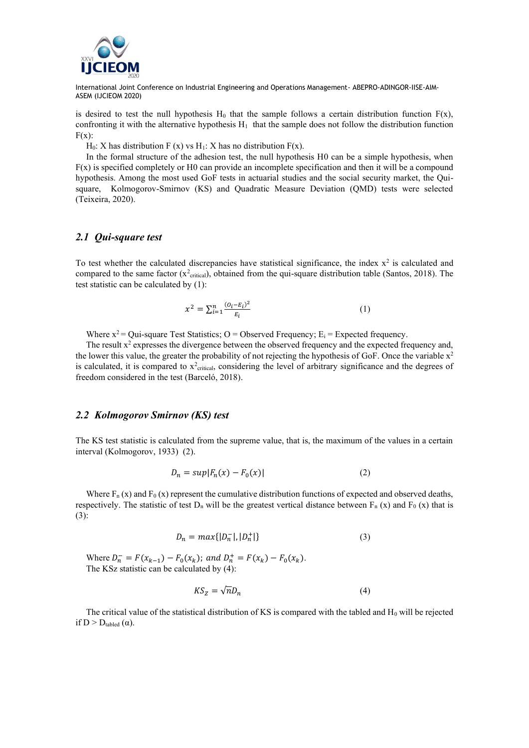

is desired to test the null hypothesis  $H_0$  that the sample follows a certain distribution function  $F(x)$ , confronting it with the alternative hypothesis  $H_1$  that the sample does not follow the distribution function  $F(x)$ :

 $H_0$ : X has distribution F (x) vs H<sub>1</sub>: X has no distribution F(x).

In the formal structure of the adhesion test, the null hypothesis H0 can be a simple hypothesis, when  $F(x)$  is specified completely or H0 can provide an incomplete specification and then it will be a compound hypothesis. Among the most used GoF tests in actuarial studies and the social security market, the Quisquare, Kolmogorov-Smirnov (KS) and Quadratic Measure Deviation (QMD) tests were selected (Teixeira, 2020).

## *2.1 Qui-square test*

To test whether the calculated discrepancies have statistical significance, the index  $x^2$  is calculated and compared to the same factor  $(x^2_{critical})$ , obtained from the qui-square distribution table (Santos, 2018). The test statistic can be calculated by (1):

$$
x^2 = \sum_{i=1}^n \frac{(o_i - \varepsilon_i)^2}{\varepsilon_i} \tag{1}
$$

Where  $x^2 = Qui$ -square Test Statistics; O = Observed Frequency; E<sub>i</sub> = Expected frequency.

The result  $x^2$  expresses the divergence between the observed frequency and the expected frequency and, the lower this value, the greater the probability of not rejecting the hypothesis of GoF. Once the variable  $x^2$ is calculated, it is compared to  $x^2$ <sub>critical</sub>, considering the level of arbitrary significance and the degrees of freedom considered in the test (Barceló, 2018).

## *2.2 Kolmogorov Smirnov (KS) test*

The KS test statistic is calculated from the supreme value, that is, the maximum of the values in a certain interval (Kolmogorov, 1933) (2).

$$
D_n = \sup |F_n(x) - F_0(x)| \tag{2}
$$

Where  $F_n(x)$  and  $F_0(x)$  represent the cumulative distribution functions of expected and observed deaths, respectively. The statistic of test  $D_n$  will be the greatest vertical distance between  $F_n$  (x) and  $F_0$  (x) that is (3):

$$
D_n = \max\{|D_n^-|, |D_n^+|\}\tag{3}
$$

Where  $D_n^- = F(x_{k-1}) - F_0(x_k)$ ; and  $D_n^+ = F(x_k) - F_0(x_k)$ . The KSz statistic can be calculated by (4):

$$
K S_Z = \sqrt{n} D_n \tag{4}
$$

The critical value of the statistical distribution of KS is compared with the tabled and  $H_0$  will be rejected if  $D > D_{\text{tabled}}(\alpha)$ .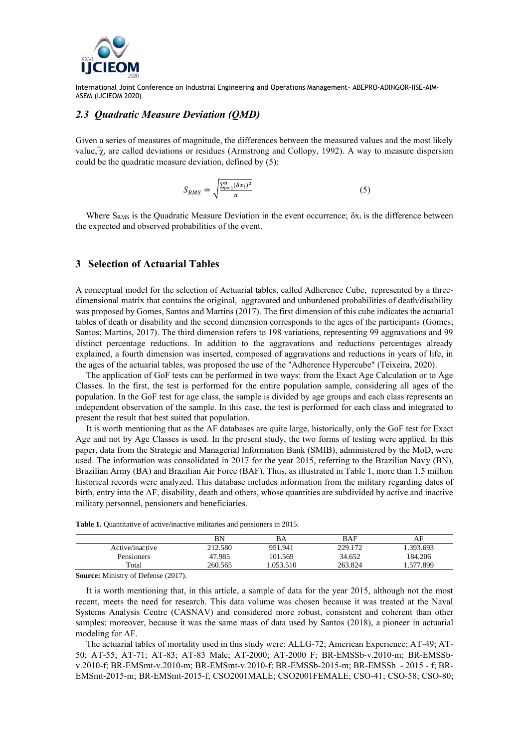

## *2.3 Quadratic Measure Deviation (QMD)*

Given a series of measures of magnitude, the differences between the measured values and the most likely value,  $\bar{\chi}$ , are called deviations or residues (Armstrong and Collopy, 1992). A way to measure dispersion could be the quadratic measure deviation, defined by (5):

$$
S_{RMS} = \sqrt{\frac{\sum_{i=1}^{n} (\delta x_i)^2}{n}}
$$
 (5)

Where  $S_{RMS}$  is the Quadratic Measure Deviation in the event occurrence;  $\delta x_i$  is the difference between the expected and observed probabilities of the event.

## **3 Selection of Actuarial Tables**

A conceptual model for the selection of Actuarial tables, called Adherence Cube, represented by a threedimensional matrix that contains the original, aggravated and unburdened probabilities of death/disability was proposed by Gomes, Santos and Martins (2017). The first dimension of this cube indicates the actuarial tables of death or disability and the second dimension corresponds to the ages of the participants (Gomes; Santos; Martins, 2017). The third dimension refers to 198 variations, representing 99 aggravations and 99 distinct percentage reductions. In addition to the aggravations and reductions percentages already explained, a fourth dimension was inserted, composed of aggravations and reductions in years of life, in the ages of the actuarial tables, was proposed the use of the "Adherence Hypercube" (Teixeira, 2020).

The application of GoF tests can be performed in two ways: from the Exact Age Calculation or to Age Classes. In the first, the test is performed for the entire population sample, considering all ages of the population. In the GoF test for age class, the sample is divided by age groups and each class represents an independent observation of the sample. In this case, the test is performed for each class and integrated to present the result that best suited that population.

It is worth mentioning that as the AF databases are quite large, historically, only the GoF test for Exact Age and not by Age Classes is used. In the present study, the two forms of testing were applied. In this paper, data from the Strategic and Managerial Information Bank (SMIB), administered by the MoD, were used. The information was consolidated in 2017 for the year 2015, referring to the Brazilian Navy (BN), Brazilian Army (BA) and Brazilian Air Force (BAF). Thus, as illustrated in Table 1, more than 1.5 million historical records were analyzed. This database includes information from the military regarding dates of birth, entry into the AF, disability, death and others, whose quantities are subdivided by active and inactive military personnel, pensioners and beneficiaries.

|  |  | <b>Table 1.</b> Quantitative of active/inactive militaries and pensioners in 2015. |  |  |  |
|--|--|------------------------------------------------------------------------------------|--|--|--|
|--|--|------------------------------------------------------------------------------------|--|--|--|

|                 | ΒN      | BA       | BAF     | AF       |
|-----------------|---------|----------|---------|----------|
| Active/inactive | 212.580 | 951.941  | 229.172 | .393.693 |
| Pensioners      | 47.985  | 101.569  | 34.652  | 184.206  |
| Total           | 260.565 | .053.510 | 263.824 | .577.899 |

**Source:** Ministry of Defense (2017).

It is worth mentioning that, in this article, a sample of data for the year 2015, although not the most recent, meets the need for research. This data volume was chosen because it was treated at the Naval Systems Analysis Centre (CASNAV) and considered more robust, consistent and coherent than other samples; moreover, because it was the same mass of data used by Santos (2018), a pioneer in actuarial modeling for AF.

The actuarial tables of mortality used in this study were: ALLG-72; American Experience; AT-49; AT-50; AT-55; AT-71; AT-83; AT-83 Male; AT-2000; AT-2000 F; BR-EMSSb-v.2010-m; BR-EMSSbv.2010-f; BR-EMSmt-v.2010-m; BR-EMSmt-v.2010-f; BR-EMSSb-2015-m; BR-EMSSb - 2015 - f; BR-EMSmt-2015-m; BR-EMSmt-2015-f; CSO2001MALE; CSO2001FEMALE; CSO-41; CSO-58; CSO-80;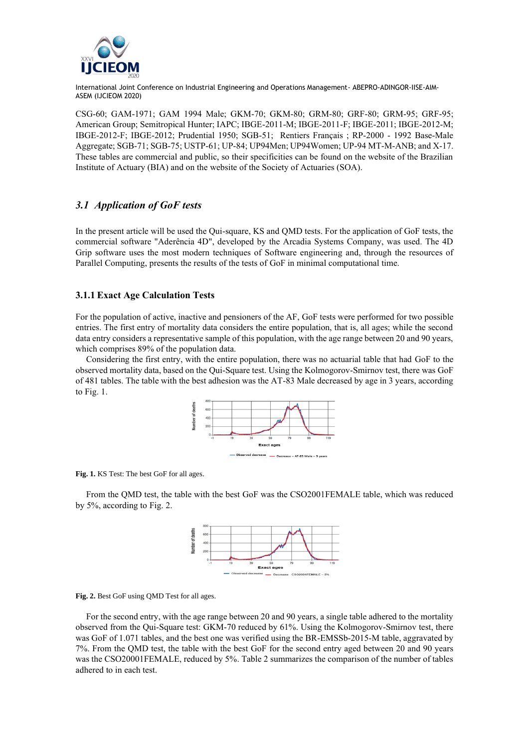

CSG-60; GAM-1971; GAM 1994 Male; GKM-70; GKM-80; GRM-80; GRF-80; GRM-95; GRF-95; American Group; Semitropical Hunter; IAPC; IBGE-2011-M; IBGE-2011-F; IBGE-2011; IBGE-2012-M; IBGE-2012-F; IBGE-2012; Prudential 1950; SGB-51; Rentiers Français ; RP-2000 - 1992 Base-Male Aggregate; SGB-71; SGB-75; USTP-61; UP-84; UP94Men; UP94Women; UP-94 MT-M-ANB; and X-17. These tables are commercial and public, so their specificities can be found on the website of the Brazilian Institute of Actuary (BIA) and on the website of the Society of Actuaries (SOA).

# *3.1 Application of GoF tests*

In the present article will be used the Qui-square, KS and QMD tests. For the application of GoF tests, the commercial software "Aderência 4D", developed by the Arcadia Systems Company, was used. The 4D Grip software uses the most modern techniques of Software engineering and, through the resources of Parallel Computing, presents the results of the tests of GoF in minimal computational time.

## **3.1.1 Exact Age Calculation Tests**

For the population of active, inactive and pensioners of the AF, GoF tests were performed for two possible entries. The first entry of mortality data considers the entire population, that is, all ages; while the second data entry considers a representative sample of this population, with the age range between 20 and 90 years, which comprises 89% of the population data.

Considering the first entry, with the entire population, there was no actuarial table that had GoF to the observed mortality data, based on the Qui-Square test. Using the Kolmogorov-Smirnov test, there was GoF of 481 tables. The table with the best adhesion was the AT-83 Male decreased by age in 3 years, according to Fig. 1.



**Fig. 1.** KS Test: The best GoF for all ages.

From the QMD test, the table with the best GoF was the CSO2001FEMALE table, which was reduced by 5%, according to Fig. 2.



**Fig. 2.** Best GoF using QMD Test for all ages.

For the second entry, with the age range between 20 and 90 years, a single table adhered to the mortality observed from the Qui-Square test: GKM-70 reduced by 61%. Using the Kolmogorov-Smirnov test, there was GoF of 1.071 tables, and the best one was verified using the BR-EMSSb-2015-M table, aggravated by 7%. From the QMD test, the table with the best GoF for the second entry aged between 20 and 90 years was the CSO20001FEMALE, reduced by 5%. Table 2 summarizes the comparison of the number of tables adhered to in each test.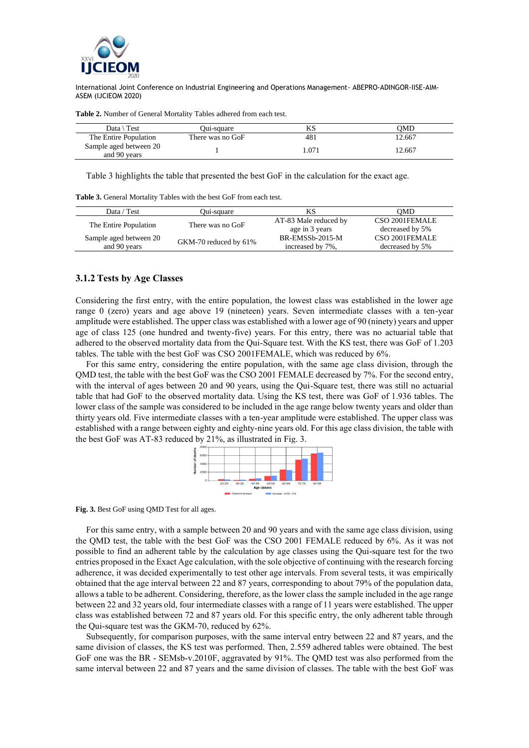

| Data \ Test                            | Oui-square       | KS  | OMD    |
|----------------------------------------|------------------|-----|--------|
| The Entire Population                  | There was no GoF | 481 | 12.667 |
| Sample aged between 20<br>and 90 years |                  | 071 | 12.667 |

**Table 2.** Number of General Mortality Tables adhered from each test.

Table 3 highlights the table that presented the best GoF in the calculation for the exact age.

**Table 3.** General Mortality Tables with the best GoF from each test.

| Data / Test            | Oui-square            | ΚS                           | OMD             |
|------------------------|-----------------------|------------------------------|-----------------|
| The Entire Population  | There was no GoF      | AT-83 Male reduced by        | CSO 2001FEMALE  |
|                        |                       | age in 3 years               | decreased by 5% |
| Sample aged between 20 | GKM-70 reduced by 61% | BR-EMSS <sub>b</sub> -2015-M | CSO 2001FEMALE  |
| and 90 years           |                       | increased by 7%,             | decreased by 5% |

#### **3.1.2 Tests by Age Classes**

Considering the first entry, with the entire population, the lowest class was established in the lower age range 0 (zero) years and age above 19 (nineteen) years. Seven intermediate classes with a ten-year amplitude were established. The upper class was established with a lower age of 90 (ninety) years and upper age of class 125 (one hundred and twenty-five) years. For this entry, there was no actuarial table that adhered to the observed mortality data from the Qui-Square test. With the KS test, there was GoF of 1.203 tables. The table with the best GoF was CSO 2001FEMALE, which was reduced by 6%.

For this same entry, considering the entire population, with the same age class division, through the QMD test, the table with the best GoF was the CSO 2001 FEMALE decreased by 7%. For the second entry, with the interval of ages between 20 and 90 years, using the Qui-Square test, there was still no actuarial table that had GoF to the observed mortality data. Using the KS test, there was GoF of 1.936 tables. The lower class of the sample was considered to be included in the age range below twenty years and older than thirty years old. Five intermediate classes with a ten-year amplitude were established. The upper class was established with a range between eighty and eighty-nine years old. For this age class division, the table with the best GoF was AT-83 reduced by 21%, as illustrated in Fig. 3.



**Fig. 3.** Best GoF using QMD Test for all ages.

For this same entry, with a sample between 20 and 90 years and with the same age class division, using the QMD test, the table with the best GoF was the CSO 2001 FEMALE reduced by 6%. As it was not possible to find an adherent table by the calculation by age classes using the Qui-square test for the two entries proposed in the Exact Age calculation, with the sole objective of continuing with the research forcing adherence, it was decided experimentally to test other age intervals. From several tests, it was empirically obtained that the age interval between 22 and 87 years, corresponding to about 79% of the population data, allows a table to be adherent. Considering, therefore, as the lower class the sample included in the age range between 22 and 32 years old, four intermediate classes with a range of 11 years were established. The upper class was established between 72 and 87 years old. For this specific entry, the only adherent table through the Qui-square test was the GKM-70, reduced by 62%.

Subsequently, for comparison purposes, with the same interval entry between 22 and 87 years, and the same division of classes, the KS test was performed. Then, 2.559 adhered tables were obtained. The best GoF one was the BR - SEMsb-v.2010F, aggravated by 91%. The QMD test was also performed from the same interval between 22 and 87 years and the same division of classes. The table with the best GoF was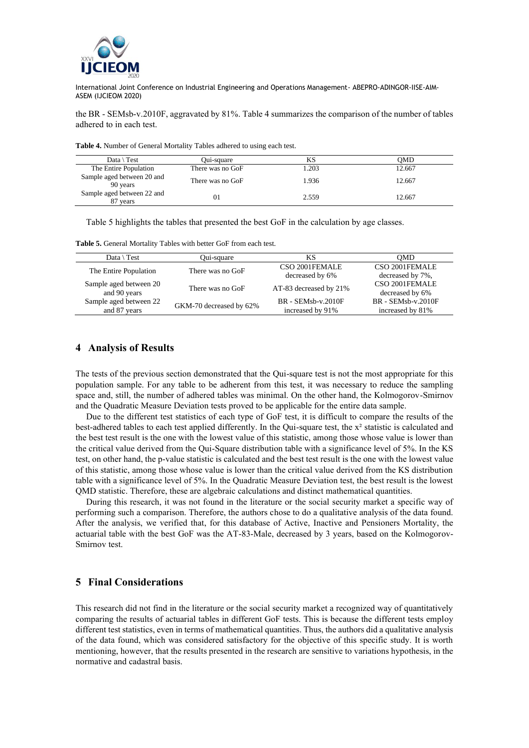

the BR - SEMsb-v.2010F, aggravated by 81%. Table 4 summarizes the comparison of the number of tables adhered to in each test.

| Data $\setminus$ Test                  | Oui-square       | KS    | OMD    |
|----------------------------------------|------------------|-------|--------|
| The Entire Population                  | There was no GoF | 1.203 | 12.667 |
| Sample aged between 20 and<br>90 years | There was no GoF | 1.936 | 12.667 |
| Sample aged between 22 and<br>87 years | 01               | 2.559 | 12.667 |

Table 5 highlights the tables that presented the best GoF in the calculation by age classes.

**Table 5.** General Mortality Tables with better GoF from each test.

| Data $\Gamma$ Test     | Qui-square              | ΚS                     | OMD                  |
|------------------------|-------------------------|------------------------|----------------------|
| The Entire Population  | There was no GoF        | CSO 2001FEMALE         | CSO 2001FEMALE       |
|                        |                         | decreased by 6%        | decreased by 7%,     |
| Sample aged between 20 | There was no GoF        | AT-83 decreased by 21% | CSO 2001FEMALE       |
| and 90 years           |                         |                        | decreased by 6%      |
| Sample aged between 22 | GKM-70 decreased by 62% | $BR - SEMsb-v.2010F$   | $BR - SEMsb-v.2010F$ |
| and 87 years           |                         | increased by 91%       | increased by 81%     |

## **4 Analysis of Results**

The tests of the previous section demonstrated that the Qui-square test is not the most appropriate for this population sample. For any table to be adherent from this test, it was necessary to reduce the sampling space and, still, the number of adhered tables was minimal. On the other hand, the Kolmogorov-Smirnov and the Quadratic Measure Deviation tests proved to be applicable for the entire data sample.

Due to the different test statistics of each type of GoF test, it is difficult to compare the results of the best-adhered tables to each test applied differently. In the Qui-square test, the x² statistic is calculated and the best test result is the one with the lowest value of this statistic, among those whose value is lower than the critical value derived from the Qui-Square distribution table with a significance level of 5%. In the KS test, on other hand, the p-value statistic is calculated and the best test result is the one with the lowest value of this statistic, among those whose value is lower than the critical value derived from the KS distribution table with a significance level of 5%. In the Quadratic Measure Deviation test, the best result is the lowest QMD statistic. Therefore, these are algebraic calculations and distinct mathematical quantities.

During this research, it was not found in the literature or the social security market a specific way of performing such a comparison. Therefore, the authors chose to do a qualitative analysis of the data found. After the analysis, we verified that, for this database of Active, Inactive and Pensioners Mortality, the actuarial table with the best GoF was the AT-83-Male, decreased by 3 years, based on the Kolmogorov-Smirnov test.

# **5 Final Considerations**

This research did not find in the literature or the social security market a recognized way of quantitatively comparing the results of actuarial tables in different GoF tests. This is because the different tests employ different test statistics, even in terms of mathematical quantities. Thus, the authors did a qualitative analysis of the data found, which was considered satisfactory for the objective of this specific study. It is worth mentioning, however, that the results presented in the research are sensitive to variations hypothesis, in the normative and cadastral basis.